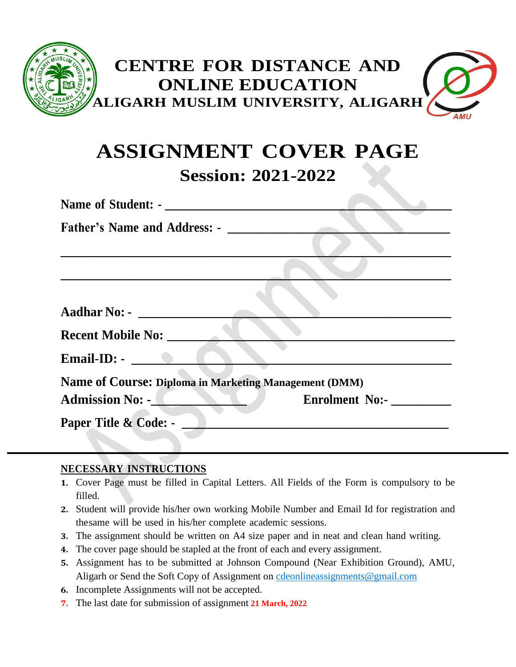

# **ASSIGNMENT COVER PAGE Session: 2021-2022**

| <b>Father's Name and Address: -</b>                          |                       |
|--------------------------------------------------------------|-----------------------|
|                                                              |                       |
|                                                              |                       |
|                                                              |                       |
| <b>Aadhar No: -</b>                                          |                       |
| <b>Recent Mobile No:</b>                                     |                       |
| Email-ID: $\bullet$                                          |                       |
| <b>Name of Course: Diploma in Marketing Management (DMM)</b> |                       |
| <b>Admission No: -</b>                                       | <b>Enrolment No:-</b> |
| Paper Title & Code: -                                        |                       |

### **NECESSARY INSTRUCTIONS**

- **1.** Cover Page must be filled in Capital Letters. All Fields of the Form is compulsory to be filled.
- **2.** Student will provide his/her own working Mobile Number and Email Id for registration and thesame will be used in his/her complete academic sessions.
- **3.** The assignment should be written on A4 size paper and in neat and clean hand writing.
- **4.** The cover page should be stapled at the front of each and every assignment.
- **5.** Assignment has to be submitted at Johnson Compound (Near Exhibition Ground), AMU, Aligarh or Send the Soft Copy of Assignment on [cdeonlineassignments@gmail.com](mailto:cdeonlineassignments@gmail.com)
- **6.** Incomplete Assignments will not be accepted.
- **7.** The last date for submission of assignment **21 March, 2022**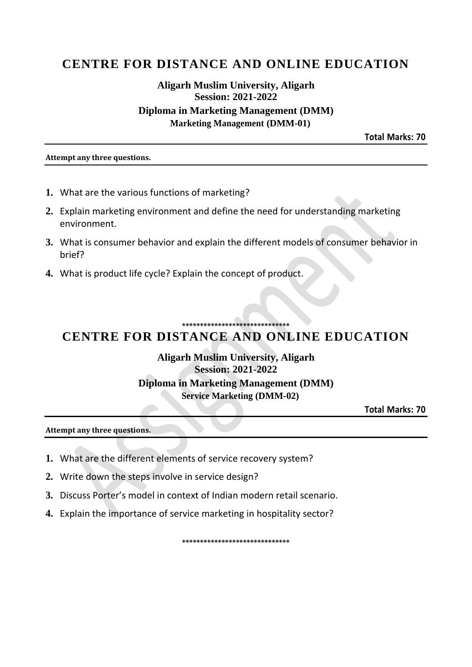# **CENTRE FOR DISTANCE AND ONLINE EDUCATION**

## **Aligarh Muslim University, Aligarh Session: 2021-2022** Diploma in Marketing Management (DMM) **Marketing Management (DMM-01)**

**Total Marks: 70** 

#### Attempt any three questions.

- 1. What are the various functions of marketing?
- 2. Explain marketing environment and define the need for understanding marketing environment.
- 3. What is consumer behavior and explain the different models of consumer behavior in brief?
- 4. What is product life cycle? Explain the concept of product.

# **CENTRE FOR DISTANCE AND ONLINE EDUCATION**

**Aligarh Muslim University, Aligarh Session: 2021-2022 Diploma in Marketing Management (DMM) Service Marketing (DMM-02)** 

**Total Marks: 70** 

Attempt any three questions.

- 1. What are the different elements of service recovery system?
- 2. Write down the steps involve in service design?
- 3. Discuss Porter's model in context of Indian modern retail scenario.
- 4. Explain the importance of service marketing in hospitality sector?

\*\*\*\*\*\*\*\*\*\*\*\*\*\*\*\*\*\*\*\*\*\*\*\*\*\*\*\*\*\*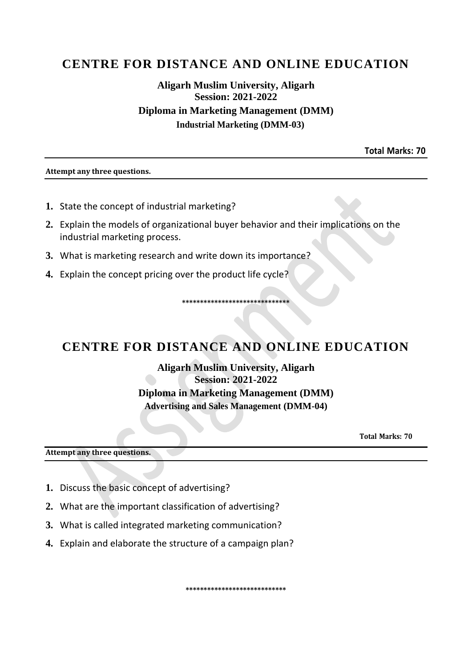# **CENTRE FOR DISTANCE AND ONLINE EDUCATION**

## **Aligarh Muslim University, Aligarh Session: 2021-2022 Diploma in Marketing Management (DMM) Industrial Marketing (DMM-03)**

**Total Marks: 70** 

#### Attempt any three questions.

- 1. State the concept of industrial marketing?
- 2. Explain the models of organizational buyer behavior and their implications on the industrial marketing process.
- 3. What is marketing research and write down its importance?
- 4. Explain the concept pricing over the product life cycle?

# CENTRE FOR DISTANCE AND ONLINE EDUCATION

\*\*\*\*\*\*\*\*\*\*\*\*\*\*\*\*\*\*\*\*\*\*\*\*\*\*\*\*\*\*\*

**Aligarh Muslim University, Aligarh Session: 2021-2022 Diploma in Marketing Management (DMM) Advertising and Sales Management (DMM-04)** 

**Total Marks: 70** 

Attempt any three questions.

- 1. Discuss the basic concept of advertising?
- 2. What are the important classification of advertising?
- 3. What is called integrated marketing communication?
- 4. Explain and elaborate the structure of a campaign plan?

\*\*\*\*\*\*\*\*\*\*\*\*\*\*\*\*\*\*\*\*\*\*\*\*\*\*\*\*\*\*